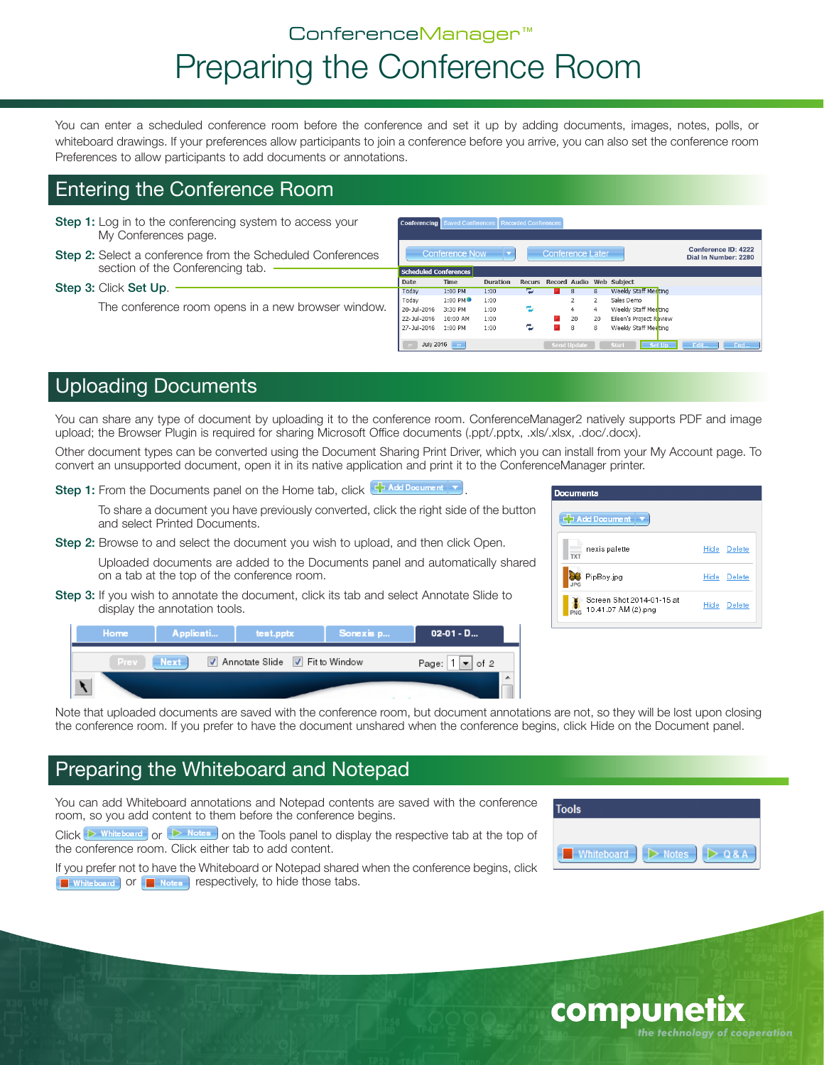# ConferenceManager™ Preparing the Conference Room

You can enter a scheduled conference room before the conference and set it up by adding documents, images, notes, polls, or whiteboard drawings. If your preferences allow participants to join a conference before you arrive, you can also set the conference room Preferences to allow participants to add documents or annotations.

Conferencing Saved Conferences Recorded Conferences

### Entering the Conference Room

- Step 1: Log in to the conferencing system to access your My Conferences page.
- Step 2: Select a conference from the Scheduled Conferences section of the Conferencing tab.

#### Step 3: Click Set Up.

The conference room opens in a new browser window.

|    |                       | <b>Conference Now</b> |                 |               | <b>Conference Later</b> |                          |                         |                         | Conference ID: 4222<br>Dial In Number: 2280 |  |
|----|-----------------------|-----------------------|-----------------|---------------|-------------------------|--------------------------|-------------------------|-------------------------|---------------------------------------------|--|
|    | Scheduled Conferences |                       |                 |               |                         |                          |                         |                         |                                             |  |
|    | <b>Date</b>           | <b>Time</b>           | <b>Duration</b> | <b>Recurs</b> | Record Audio            |                          |                         | Web Subject             |                                             |  |
|    | Todav                 | 1:00 PM               | 1:00            | وموا          |                         | 8                        | $\overline{\mathbf{a}}$ | Weekly Staff Meeting    |                                             |  |
|    | Todav                 | 1:00 PM <sup>O</sup>  | 1:00            |               |                         | $\overline{\phantom{a}}$ | $\overline{2}$          | Sales Demo              |                                             |  |
| ٠. | 20-Jul-2016           | 3:30 PM               | 1:00            | e             |                         | 4                        | 4                       | Weekly Staff Meeting    |                                             |  |
|    | 22-Jul-2016           | 10:00 AM              | 1:00            |               |                         | 20                       | 20                      | Eileen's Project Review |                                             |  |
|    | 27-Jul-2016           | $1:00$ PM             | 1:00            | e             |                         | 8                        | 8                       | Weekly Staff Meeting    |                                             |  |
|    | <b>July 2016</b>      | $\infty$              |                 |               | <b>Send Update</b>      |                          |                         | Set Up<br><b>Start</b>  | Edit<br><b>End</b>                          |  |

### Uploading Documents

You can share any type of document by uploading it to the conference room. ConferenceManager2 natively supports PDF and image upload; the Browser Plugin is required for sharing Microsoft Office documents (.ppt/.pptx, .xls/.xlsx, .doc/.docx).

Other document types can be converted using the Document Sharing Print Driver, which you can install from your My Account page. To convert an unsupported document, open it in its native application and print it to the ConferenceManager printer.

Step 1: From the Documents panel on the Home tab, click  $\bigoplus$  Add Document  $\blacktriangledown$ 

To share a document you have previously converted, click the right side of the button and select Printed Documents.

Step 2: Browse to and select the document you wish to upload, and then click Open.

Uploaded documents are added to the Documents panel and automatically shared on a tab at the top of the conference room.

**Step 3:** If you wish to annotate the document, click its tab and select Annotate Slide to display the annotation tools.

| Home | Applicati | test.pptx                      | Sonexis p | $02-01 - D$      |
|------|-----------|--------------------------------|-----------|------------------|
| Prev | Next      | Annotate Slide V Fit to Window |           | Page: $1 -$ of 2 |
|      |           |                                |           |                  |



Note that uploaded documents are saved with the conference room, but document annotations are not, so they will be lost upon closing the conference room. If you prefer to have the document unshared when the conference begins, click Hide on the Document panel.

### Preparing the Whiteboard and Notepad

You can add Whiteboard annotations and Notepad contents are saved with the conference room, so you add content to them before the conference begins.

Click  $\triangleright$  Whiteboard or  $\triangleright$  Notes on the Tools panel to display the respective tab at the top of the conference room. Click either tab to add content.

If you prefer not to have the Whiteboard or Notepad shared when the conference begins, click **For vEXT and Set of Formula** respectively, to hide those tabs.

| <b>Tools</b> |              |       |
|--------------|--------------|-------|
|              |              |       |
| Whiteboard   | <b>Notes</b> | Q & A |